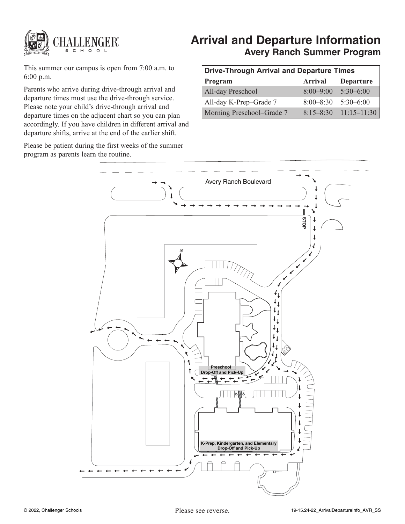

# **Arrival and Departure Information Avery Ranch Summer Program**

This summer our campus is open from 7:00 a.m. to 6:00 p.m.

Parents who arrive during drive-through arrival and departure times must use the drive-through service. Please note your child's drive-through arrival and departure times on the adjacent chart so you can plan accordingly. If you have children in different arrival and departure shifts, arrive at the end of the earlier shift.

Please be patient during the first weeks of the summer program as parents learn the routine.

| <b>Drive-Through Arrival and Departure Times</b> |                         |                           |
|--------------------------------------------------|-------------------------|---------------------------|
| Program                                          | Arrival                 | <b>Departure</b>          |
| All-day Preschool                                | $8:00 - 9:00$           | $5:30-6:00$               |
| All-day K-Prep-Grade 7                           | $8:00-8:30$ $5:30-6:00$ |                           |
| Morning Preschool–Grade 7                        |                         | $8:15-8:30$ $11:15-11:30$ |